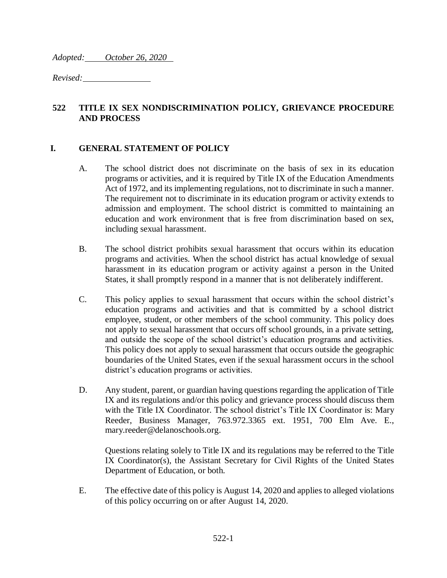*Adopted: October 26, 2020* 

*Revised:* 

### **522 TITLE IX SEX NONDISCRIMINATION POLICY, GRIEVANCE PROCEDURE AND PROCESS**

#### **I. GENERAL STATEMENT OF POLICY**

- A. The school district does not discriminate on the basis of sex in its education programs or activities, and it is required by Title IX of the Education Amendments Act of 1972, and its implementing regulations, not to discriminate in such a manner. The requirement not to discriminate in its education program or activity extends to admission and employment. The school district is committed to maintaining an education and work environment that is free from discrimination based on sex, including sexual harassment.
- B. The school district prohibits sexual harassment that occurs within its education programs and activities. When the school district has actual knowledge of sexual harassment in its education program or activity against a person in the United States, it shall promptly respond in a manner that is not deliberately indifferent.
- C. This policy applies to sexual harassment that occurs within the school district's education programs and activities and that is committed by a school district employee, student, or other members of the school community. This policy does not apply to sexual harassment that occurs off school grounds, in a private setting, and outside the scope of the school district's education programs and activities. This policy does not apply to sexual harassment that occurs outside the geographic boundaries of the United States, even if the sexual harassment occurs in the school district's education programs or activities.
- D. Any student, parent, or guardian having questions regarding the application of Title IX and its regulations and/or this policy and grievance process should discuss them with the Title IX Coordinator. The school district's Title IX Coordinator is: Mary Reeder, Business Manager, 763.972.3365 ext. 1951, 700 Elm Ave. E., mary.reeder@delanoschools.org.

Questions relating solely to Title IX and its regulations may be referred to the Title IX Coordinator(s), the Assistant Secretary for Civil Rights of the United States Department of Education, or both.

E. The effective date of this policy is August 14, 2020 and applies to alleged violations of this policy occurring on or after August 14, 2020.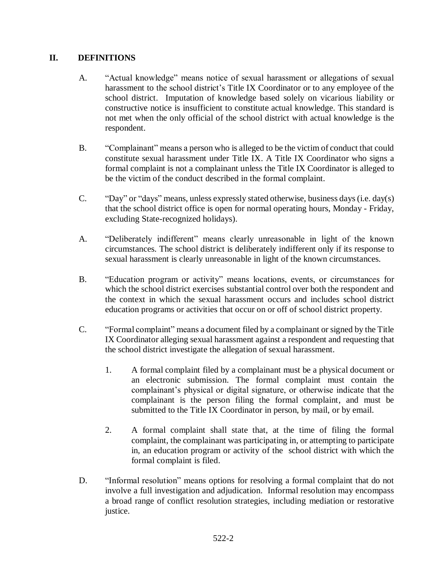## **II. DEFINITIONS**

- A. "Actual knowledge" means notice of sexual harassment or allegations of sexual harassment to the school district's Title IX Coordinator or to any employee of the school district. Imputation of knowledge based solely on vicarious liability or constructive notice is insufficient to constitute actual knowledge. This standard is not met when the only official of the school district with actual knowledge is the respondent.
- B. "Complainant" means a person who is alleged to be the victim of conduct that could constitute sexual harassment under Title IX. A Title IX Coordinator who signs a formal complaint is not a complainant unless the Title IX Coordinator is alleged to be the victim of the conduct described in the formal complaint.
- C. "Day" or "days" means, unless expressly stated otherwise, business days (i.e. day(s) that the school district office is open for normal operating hours, Monday - Friday, excluding State-recognized holidays).
- A. "Deliberately indifferent" means clearly unreasonable in light of the known circumstances. The school district is deliberately indifferent only if its response to sexual harassment is clearly unreasonable in light of the known circumstances.
- B. "Education program or activity" means locations, events, or circumstances for which the school district exercises substantial control over both the respondent and the context in which the sexual harassment occurs and includes school district education programs or activities that occur on or off of school district property.
- C. "Formal complaint" means a document filed by a complainant or signed by the Title IX Coordinator alleging sexual harassment against a respondent and requesting that the school district investigate the allegation of sexual harassment.
	- 1. A formal complaint filed by a complainant must be a physical document or an electronic submission. The formal complaint must contain the complainant's physical or digital signature, or otherwise indicate that the complainant is the person filing the formal complaint, and must be submitted to the Title IX Coordinator in person, by mail, or by email.
	- 2. A formal complaint shall state that, at the time of filing the formal complaint, the complainant was participating in, or attempting to participate in, an education program or activity of the school district with which the formal complaint is filed.
- D. "Informal resolution" means options for resolving a formal complaint that do not involve a full investigation and adjudication. Informal resolution may encompass a broad range of conflict resolution strategies, including mediation or restorative justice.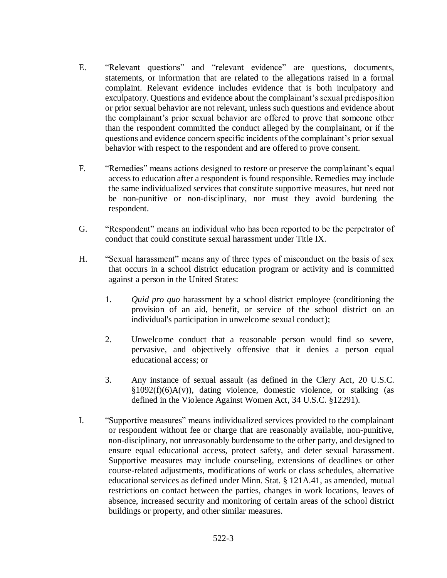- E. "Relevant questions" and "relevant evidence" are questions, documents, statements, or information that are related to the allegations raised in a formal complaint. Relevant evidence includes evidence that is both inculpatory and exculpatory. Questions and evidence about the complainant's sexual predisposition or prior sexual behavior are not relevant, unless such questions and evidence about the complainant's prior sexual behavior are offered to prove that someone other than the respondent committed the conduct alleged by the complainant, or if the questions and evidence concern specific incidents of the complainant's prior sexual behavior with respect to the respondent and are offered to prove consent.
- F. "Remedies" means actions designed to restore or preserve the complainant's equal access to education after a respondent is found responsible. Remedies may include the same individualized services that constitute supportive measures, but need not be non-punitive or non-disciplinary, nor must they avoid burdening the respondent.
- G. "Respondent" means an individual who has been reported to be the perpetrator of conduct that could constitute sexual harassment under Title IX.
- H. "Sexual harassment" means any of three types of misconduct on the basis of sex that occurs in a school district education program or activity and is committed against a person in the United States:
	- 1. *Quid pro quo* harassment by a school district employee (conditioning the provision of an aid, benefit, or service of the school district on an individual's participation in unwelcome sexual conduct);
	- 2. Unwelcome conduct that a reasonable person would find so severe, pervasive, and objectively offensive that it denies a person equal educational access; or
	- 3. Any instance of sexual assault (as defined in the Clery Act, 20 U.S.C.  $§1092(f)(6)A(v)$ , dating violence, domestic violence, or stalking (as defined in the Violence Against Women Act, 34 U.S.C. §12291).
- I. "Supportive measures" means individualized services provided to the complainant or respondent without fee or charge that are reasonably available, non-punitive, non-disciplinary, not unreasonably burdensome to the other party, and designed to ensure equal educational access, protect safety, and deter sexual harassment. Supportive measures may include counseling, extensions of deadlines or other course-related adjustments, modifications of work or class schedules, alternative educational services as defined under Minn. Stat. § 121A.41, as amended, mutual restrictions on contact between the parties, changes in work locations, leaves of absence, increased security and monitoring of certain areas of the school district buildings or property, and other similar measures.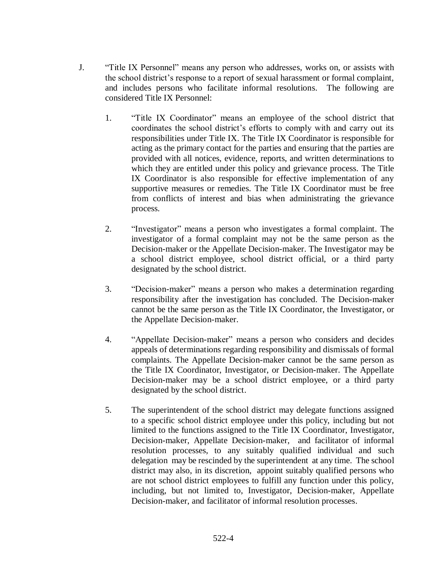- J. "Title IX Personnel" means any person who addresses, works on, or assists with the school district's response to a report of sexual harassment or formal complaint, and includes persons who facilitate informal resolutions. The following are considered Title IX Personnel:
	- 1. "Title IX Coordinator" means an employee of the school district that coordinates the school district's efforts to comply with and carry out its responsibilities under Title IX. The Title IX Coordinator is responsible for acting as the primary contact for the parties and ensuring that the parties are provided with all notices, evidence, reports, and written determinations to which they are entitled under this policy and grievance process. The Title IX Coordinator is also responsible for effective implementation of any supportive measures or remedies. The Title IX Coordinator must be free from conflicts of interest and bias when administrating the grievance process.
	- 2. "Investigator" means a person who investigates a formal complaint. The investigator of a formal complaint may not be the same person as the Decision-maker or the Appellate Decision-maker. The Investigator may be a school district employee, school district official, or a third party designated by the school district.
	- 3. "Decision-maker" means a person who makes a determination regarding responsibility after the investigation has concluded. The Decision-maker cannot be the same person as the Title IX Coordinator, the Investigator, or the Appellate Decision-maker.
	- 4. "Appellate Decision-maker" means a person who considers and decides appeals of determinations regarding responsibility and dismissals of formal complaints. The Appellate Decision-maker cannot be the same person as the Title IX Coordinator, Investigator, or Decision-maker. The Appellate Decision-maker may be a school district employee, or a third party designated by the school district.
	- 5. The superintendent of the school district may delegate functions assigned to a specific school district employee under this policy, including but not limited to the functions assigned to the Title IX Coordinator, Investigator, Decision-maker, Appellate Decision-maker, and facilitator of informal resolution processes, to any suitably qualified individual and such delegation may be rescinded by the superintendent at any time. The school district may also, in its discretion, appoint suitably qualified persons who are not school district employees to fulfill any function under this policy, including, but not limited to, Investigator, Decision-maker, Appellate Decision-maker, and facilitator of informal resolution processes.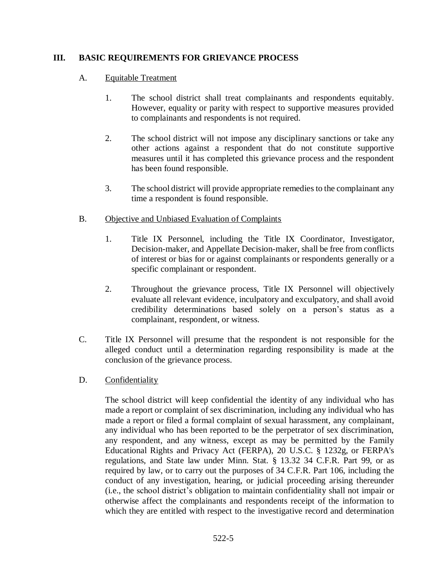### **III. BASIC REQUIREMENTS FOR GRIEVANCE PROCESS**

### A. Equitable Treatment

- 1. The school district shall treat complainants and respondents equitably. However, equality or parity with respect to supportive measures provided to complainants and respondents is not required.
- 2. The school district will not impose any disciplinary sanctions or take any other actions against a respondent that do not constitute supportive measures until it has completed this grievance process and the respondent has been found responsible.
- 3. The school district will provide appropriate remedies to the complainant any time a respondent is found responsible.
- B. Objective and Unbiased Evaluation of Complaints
	- 1. Title IX Personnel, including the Title IX Coordinator, Investigator, Decision-maker, and Appellate Decision-maker, shall be free from conflicts of interest or bias for or against complainants or respondents generally or a specific complainant or respondent.
	- 2. Throughout the grievance process, Title IX Personnel will objectively evaluate all relevant evidence, inculpatory and exculpatory, and shall avoid credibility determinations based solely on a person's status as a complainant, respondent, or witness.
- C. Title IX Personnel will presume that the respondent is not responsible for the alleged conduct until a determination regarding responsibility is made at the conclusion of the grievance process.
- D. Confidentiality

The school district will keep confidential the identity of any individual who has made a report or complaint of sex discrimination, including any individual who has made a report or filed a formal complaint of sexual harassment, any complainant, any individual who has been reported to be the perpetrator of sex discrimination, any respondent, and any witness, except as may be permitted by the Family Educational Rights and Privacy Act (FERPA), 20 U.S.C. § 1232g, or FERPA's regulations, and State law under Minn. Stat. § 13.32 34 C.F.R. Part 99, or as required by law, or to carry out the purposes of 34 C.F.R. Part 106, including the conduct of any investigation, hearing, or judicial proceeding arising thereunder (i.e., the school district's obligation to maintain confidentiality shall not impair or otherwise affect the complainants and respondents receipt of the information to which they are entitled with respect to the investigative record and determination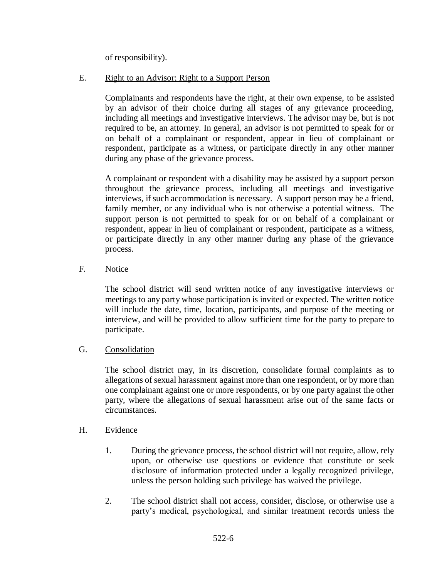of responsibility).

## E. Right to an Advisor; Right to a Support Person

Complainants and respondents have the right, at their own expense, to be assisted by an advisor of their choice during all stages of any grievance proceeding, including all meetings and investigative interviews. The advisor may be, but is not required to be, an attorney. In general, an advisor is not permitted to speak for or on behalf of a complainant or respondent, appear in lieu of complainant or respondent, participate as a witness, or participate directly in any other manner during any phase of the grievance process.

A complainant or respondent with a disability may be assisted by a support person throughout the grievance process, including all meetings and investigative interviews, if such accommodation is necessary. A support person may be a friend, family member, or any individual who is not otherwise a potential witness. The support person is not permitted to speak for or on behalf of a complainant or respondent, appear in lieu of complainant or respondent, participate as a witness, or participate directly in any other manner during any phase of the grievance process.

## F. Notice

The school district will send written notice of any investigative interviews or meetings to any party whose participation is invited or expected. The written notice will include the date, time, location, participants, and purpose of the meeting or interview, and will be provided to allow sufficient time for the party to prepare to participate.

### G. Consolidation

The school district may, in its discretion, consolidate formal complaints as to allegations of sexual harassment against more than one respondent, or by more than one complainant against one or more respondents, or by one party against the other party, where the allegations of sexual harassment arise out of the same facts or circumstances.

### H. Evidence

- 1. During the grievance process, the school district will not require, allow, rely upon, or otherwise use questions or evidence that constitute or seek disclosure of information protected under a legally recognized privilege, unless the person holding such privilege has waived the privilege.
- 2. The school district shall not access, consider, disclose, or otherwise use a party's medical, psychological, and similar treatment records unless the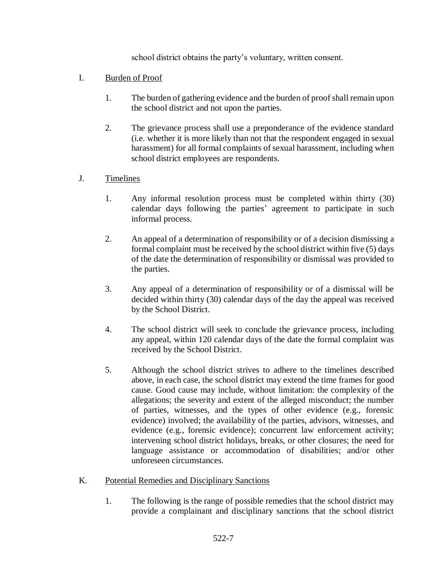school district obtains the party's voluntary, written consent.

### I. Burden of Proof

- 1. The burden of gathering evidence and the burden of proof shall remain upon the school district and not upon the parties.
- 2. The grievance process shall use a preponderance of the evidence standard (i.e. whether it is more likely than not that the respondent engaged in sexual harassment) for all formal complaints of sexual harassment, including when school district employees are respondents.

## J. Timelines

- 1. Any informal resolution process must be completed within thirty (30) calendar days following the parties' agreement to participate in such informal process.
- 2. An appeal of a determination of responsibility or of a decision dismissing a formal complaint must be received by the school district within five (5) days of the date the determination of responsibility or dismissal was provided to the parties.
- 3. Any appeal of a determination of responsibility or of a dismissal will be decided within thirty (30) calendar days of the day the appeal was received by the School District.
- 4. The school district will seek to conclude the grievance process, including any appeal, within 120 calendar days of the date the formal complaint was received by the School District.
- 5. Although the school district strives to adhere to the timelines described above, in each case, the school district may extend the time frames for good cause. Good cause may include, without limitation: the complexity of the allegations; the severity and extent of the alleged misconduct; the number of parties, witnesses, and the types of other evidence (e.g., forensic evidence) involved; the availability of the parties, advisors, witnesses, and evidence (e.g., forensic evidence); concurrent law enforcement activity; intervening school district holidays, breaks, or other closures; the need for language assistance or accommodation of disabilities; and/or other unforeseen circumstances.
- K. Potential Remedies and Disciplinary Sanctions
	- 1. The following is the range of possible remedies that the school district may provide a complainant and disciplinary sanctions that the school district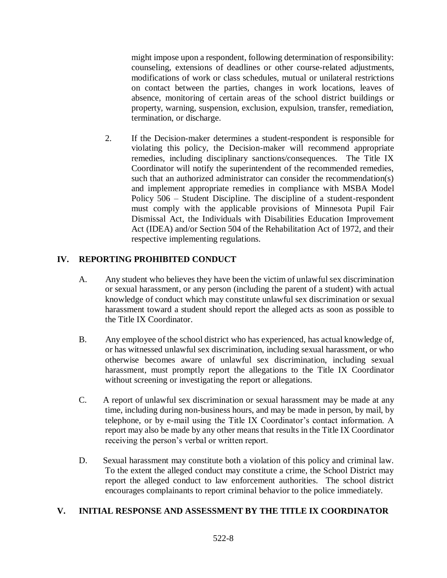might impose upon a respondent, following determination of responsibility: counseling, extensions of deadlines or other course-related adjustments, modifications of work or class schedules, mutual or unilateral restrictions on contact between the parties, changes in work locations, leaves of absence, monitoring of certain areas of the school district buildings or property, warning, suspension, exclusion, expulsion, transfer, remediation, termination, or discharge.

2. If the Decision-maker determines a student-respondent is responsible for violating this policy, the Decision-maker will recommend appropriate remedies, including disciplinary sanctions/consequences. The Title IX Coordinator will notify the superintendent of the recommended remedies, such that an authorized administrator can consider the recommendation(s) and implement appropriate remedies in compliance with MSBA Model Policy 506 – Student Discipline. The discipline of a student-respondent must comply with the applicable provisions of Minnesota Pupil Fair Dismissal Act, the Individuals with Disabilities Education Improvement Act (IDEA) and/or Section 504 of the Rehabilitation Act of 1972, and their respective implementing regulations.

# **IV. REPORTING PROHIBITED CONDUCT**

- A. Any student who believes they have been the victim of unlawful sex discrimination or sexual harassment, or any person (including the parent of a student) with actual knowledge of conduct which may constitute unlawful sex discrimination or sexual harassment toward a student should report the alleged acts as soon as possible to the Title IX Coordinator.
- B. Any employee of the school district who has experienced, has actual knowledge of, or has witnessed unlawful sex discrimination, including sexual harassment, or who otherwise becomes aware of unlawful sex discrimination, including sexual harassment, must promptly report the allegations to the Title IX Coordinator without screening or investigating the report or allegations.
- C. A report of unlawful sex discrimination or sexual harassment may be made at any time, including during non-business hours, and may be made in person, by mail, by telephone, or by e-mail using the Title IX Coordinator's contact information. A report may also be made by any other means that results in the Title IX Coordinator receiving the person's verbal or written report.
- D. Sexual harassment may constitute both a violation of this policy and criminal law. To the extent the alleged conduct may constitute a crime, the School District may report the alleged conduct to law enforcement authorities. The school district encourages complainants to report criminal behavior to the police immediately.

### **V. INITIAL RESPONSE AND ASSESSMENT BY THE TITLE IX COORDINATOR**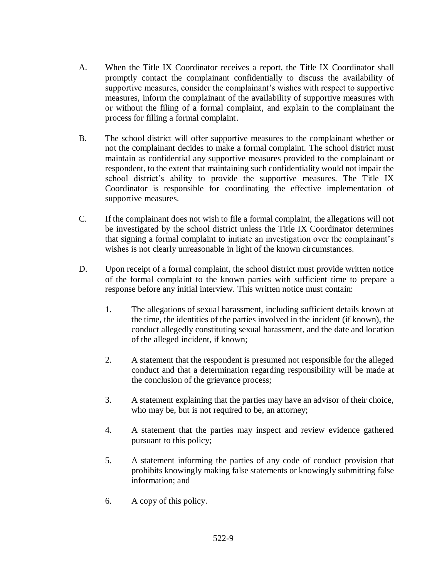- A. When the Title IX Coordinator receives a report, the Title IX Coordinator shall promptly contact the complainant confidentially to discuss the availability of supportive measures, consider the complainant's wishes with respect to supportive measures, inform the complainant of the availability of supportive measures with or without the filing of a formal complaint, and explain to the complainant the process for filling a formal complaint.
- B. The school district will offer supportive measures to the complainant whether or not the complainant decides to make a formal complaint. The school district must maintain as confidential any supportive measures provided to the complainant or respondent, to the extent that maintaining such confidentiality would not impair the school district's ability to provide the supportive measures. The Title IX Coordinator is responsible for coordinating the effective implementation of supportive measures.
- C. If the complainant does not wish to file a formal complaint, the allegations will not be investigated by the school district unless the Title IX Coordinator determines that signing a formal complaint to initiate an investigation over the complainant's wishes is not clearly unreasonable in light of the known circumstances.
- D. Upon receipt of a formal complaint, the school district must provide written notice of the formal complaint to the known parties with sufficient time to prepare a response before any initial interview. This written notice must contain:
	- 1. The allegations of sexual harassment, including sufficient details known at the time, the identities of the parties involved in the incident (if known), the conduct allegedly constituting sexual harassment, and the date and location of the alleged incident, if known;
	- 2. A statement that the respondent is presumed not responsible for the alleged conduct and that a determination regarding responsibility will be made at the conclusion of the grievance process;
	- 3. A statement explaining that the parties may have an advisor of their choice, who may be, but is not required to be, an attorney;
	- 4. A statement that the parties may inspect and review evidence gathered pursuant to this policy;
	- 5. A statement informing the parties of any code of conduct provision that prohibits knowingly making false statements or knowingly submitting false information; and
	- 6. A copy of this policy.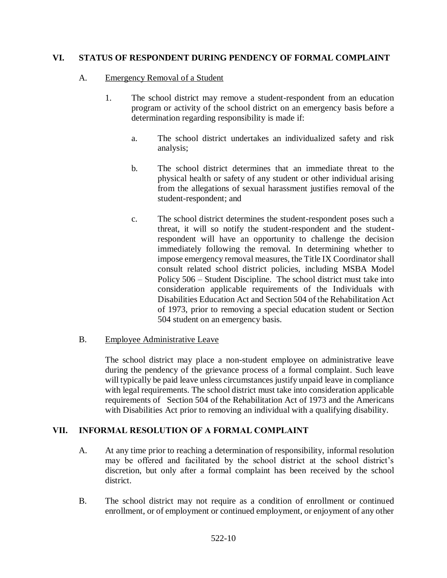### **VI. STATUS OF RESPONDENT DURING PENDENCY OF FORMAL COMPLAINT**

#### A. Emergency Removal of a Student

- 1. The school district may remove a student-respondent from an education program or activity of the school district on an emergency basis before a determination regarding responsibility is made if:
	- a. The school district undertakes an individualized safety and risk analysis;
	- b. The school district determines that an immediate threat to the physical health or safety of any student or other individual arising from the allegations of sexual harassment justifies removal of the student-respondent; and
	- c. The school district determines the student-respondent poses such a threat, it will so notify the student-respondent and the studentrespondent will have an opportunity to challenge the decision immediately following the removal. In determining whether to impose emergency removal measures, the Title IX Coordinator shall consult related school district policies, including MSBA Model Policy 506 – Student Discipline. The school district must take into consideration applicable requirements of the Individuals with Disabilities Education Act and Section 504 of the Rehabilitation Act of 1973, prior to removing a special education student or Section 504 student on an emergency basis.

### B. Employee Administrative Leave

The school district may place a non-student employee on administrative leave during the pendency of the grievance process of a formal complaint. Such leave will typically be paid leave unless circumstances justify unpaid leave in compliance with legal requirements. The school district must take into consideration applicable requirements of Section 504 of the Rehabilitation Act of 1973 and the Americans with Disabilities Act prior to removing an individual with a qualifying disability.

### **VII. INFORMAL RESOLUTION OF A FORMAL COMPLAINT**

- A. At any time prior to reaching a determination of responsibility, informal resolution may be offered and facilitated by the school district at the school district's discretion, but only after a formal complaint has been received by the school district.
- B. The school district may not require as a condition of enrollment or continued enrollment, or of employment or continued employment, or enjoyment of any other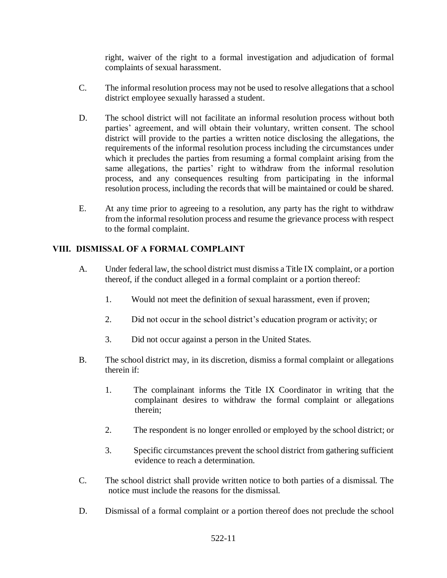right, waiver of the right to a formal investigation and adjudication of formal complaints of sexual harassment.

- C. The informal resolution process may not be used to resolve allegations that a school district employee sexually harassed a student.
- D. The school district will not facilitate an informal resolution process without both parties' agreement, and will obtain their voluntary, written consent. The school district will provide to the parties a written notice disclosing the allegations, the requirements of the informal resolution process including the circumstances under which it precludes the parties from resuming a formal complaint arising from the same allegations, the parties' right to withdraw from the informal resolution process, and any consequences resulting from participating in the informal resolution process, including the records that will be maintained or could be shared.
- E. At any time prior to agreeing to a resolution, any party has the right to withdraw from the informal resolution process and resume the grievance process with respect to the formal complaint.

# **VIII. DISMISSAL OF A FORMAL COMPLAINT**

- A. Under federal law, the school district must dismiss a Title IX complaint, or a portion thereof, if the conduct alleged in a formal complaint or a portion thereof:
	- 1. Would not meet the definition of sexual harassment, even if proven;
	- 2. Did not occur in the school district's education program or activity; or
	- 3. Did not occur against a person in the United States.
- B. The school district may, in its discretion, dismiss a formal complaint or allegations therein if:
	- 1. The complainant informs the Title IX Coordinator in writing that the complainant desires to withdraw the formal complaint or allegations therein;
	- 2. The respondent is no longer enrolled or employed by the school district; or
	- 3. Specific circumstances prevent the school district from gathering sufficient evidence to reach a determination.
- C. The school district shall provide written notice to both parties of a dismissal. The notice must include the reasons for the dismissal.
- D. Dismissal of a formal complaint or a portion thereof does not preclude the school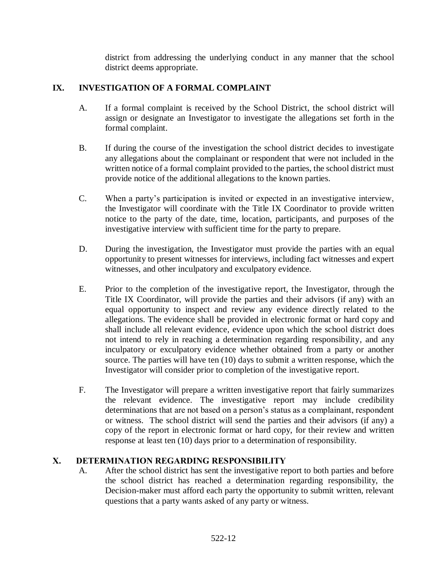district from addressing the underlying conduct in any manner that the school district deems appropriate.

# **IX. INVESTIGATION OF A FORMAL COMPLAINT**

- A. If a formal complaint is received by the School District, the school district will assign or designate an Investigator to investigate the allegations set forth in the formal complaint.
- B. If during the course of the investigation the school district decides to investigate any allegations about the complainant or respondent that were not included in the written notice of a formal complaint provided to the parties, the school district must provide notice of the additional allegations to the known parties.
- C. When a party's participation is invited or expected in an investigative interview, the Investigator will coordinate with the Title IX Coordinator to provide written notice to the party of the date, time, location, participants, and purposes of the investigative interview with sufficient time for the party to prepare.
- D. During the investigation, the Investigator must provide the parties with an equal opportunity to present witnesses for interviews, including fact witnesses and expert witnesses, and other inculpatory and exculpatory evidence.
- E. Prior to the completion of the investigative report, the Investigator, through the Title IX Coordinator, will provide the parties and their advisors (if any) with an equal opportunity to inspect and review any evidence directly related to the allegations. The evidence shall be provided in electronic format or hard copy and shall include all relevant evidence, evidence upon which the school district does not intend to rely in reaching a determination regarding responsibility, and any inculpatory or exculpatory evidence whether obtained from a party or another source. The parties will have ten (10) days to submit a written response, which the Investigator will consider prior to completion of the investigative report.
- F. The Investigator will prepare a written investigative report that fairly summarizes the relevant evidence. The investigative report may include credibility determinations that are not based on a person's status as a complainant, respondent or witness. The school district will send the parties and their advisors (if any) a copy of the report in electronic format or hard copy, for their review and written response at least ten (10) days prior to a determination of responsibility.

# **X. DETERMINATION REGARDING RESPONSIBILITY**

A. After the school district has sent the investigative report to both parties and before the school district has reached a determination regarding responsibility, the Decision-maker must afford each party the opportunity to submit written, relevant questions that a party wants asked of any party or witness.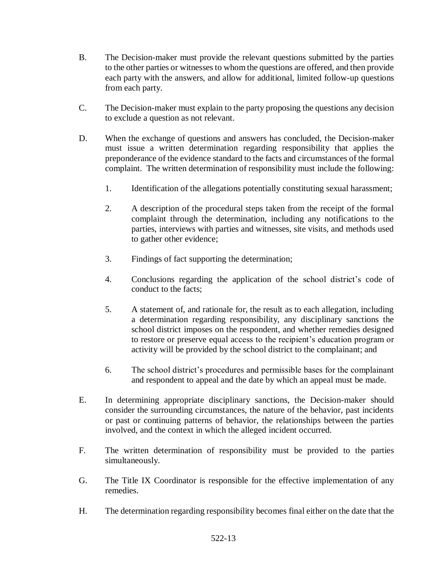- B. The Decision-maker must provide the relevant questions submitted by the parties to the other parties or witnesses to whom the questions are offered, and then provide each party with the answers, and allow for additional, limited follow-up questions from each party.
- C. The Decision-maker must explain to the party proposing the questions any decision to exclude a question as not relevant.
- D. When the exchange of questions and answers has concluded, the Decision-maker must issue a written determination regarding responsibility that applies the preponderance of the evidence standard to the facts and circumstances of the formal complaint. The written determination of responsibility must include the following:
	- 1. Identification of the allegations potentially constituting sexual harassment;
	- 2. A description of the procedural steps taken from the receipt of the formal complaint through the determination, including any notifications to the parties, interviews with parties and witnesses, site visits, and methods used to gather other evidence;
	- 3. Findings of fact supporting the determination;
	- 4. Conclusions regarding the application of the school district's code of conduct to the facts;
	- 5. A statement of, and rationale for, the result as to each allegation, including a determination regarding responsibility, any disciplinary sanctions the school district imposes on the respondent, and whether remedies designed to restore or preserve equal access to the recipient's education program or activity will be provided by the school district to the complainant; and
	- 6. The school district's procedures and permissible bases for the complainant and respondent to appeal and the date by which an appeal must be made.
- E. In determining appropriate disciplinary sanctions, the Decision-maker should consider the surrounding circumstances, the nature of the behavior, past incidents or past or continuing patterns of behavior, the relationships between the parties involved, and the context in which the alleged incident occurred.
- F. The written determination of responsibility must be provided to the parties simultaneously.
- G. The Title IX Coordinator is responsible for the effective implementation of any remedies.
- H. The determination regarding responsibility becomes final either on the date that the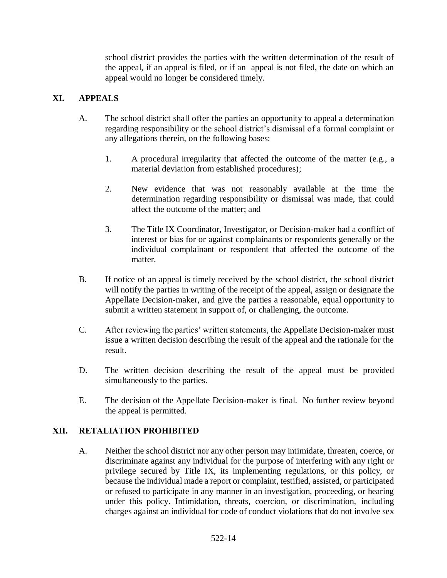school district provides the parties with the written determination of the result of the appeal, if an appeal is filed, or if an appeal is not filed, the date on which an appeal would no longer be considered timely.

## **XI. APPEALS**

- A. The school district shall offer the parties an opportunity to appeal a determination regarding responsibility or the school district's dismissal of a formal complaint or any allegations therein, on the following bases:
	- 1. A procedural irregularity that affected the outcome of the matter (e.g., a material deviation from established procedures);
	- 2. New evidence that was not reasonably available at the time the determination regarding responsibility or dismissal was made, that could affect the outcome of the matter; and
	- 3. The Title IX Coordinator, Investigator, or Decision-maker had a conflict of interest or bias for or against complainants or respondents generally or the individual complainant or respondent that affected the outcome of the matter.
- B. If notice of an appeal is timely received by the school district, the school district will notify the parties in writing of the receipt of the appeal, assign or designate the Appellate Decision-maker, and give the parties a reasonable, equal opportunity to submit a written statement in support of, or challenging, the outcome.
- C. After reviewing the parties' written statements, the Appellate Decision-maker must issue a written decision describing the result of the appeal and the rationale for the result.
- D. The written decision describing the result of the appeal must be provided simultaneously to the parties.
- E. The decision of the Appellate Decision-maker is final. No further review beyond the appeal is permitted.

### **XII. RETALIATION PROHIBITED**

A. Neither the school district nor any other person may intimidate, threaten, coerce, or discriminate against any individual for the purpose of interfering with any right or privilege secured by Title IX, its implementing regulations, or this policy, or because the individual made a report or complaint, testified, assisted, or participated or refused to participate in any manner in an investigation, proceeding, or hearing under this policy. Intimidation, threats, coercion, or discrimination, including charges against an individual for code of conduct violations that do not involve sex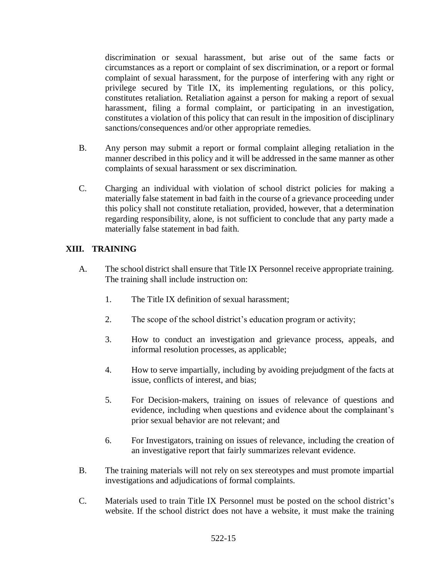discrimination or sexual harassment, but arise out of the same facts or circumstances as a report or complaint of sex discrimination, or a report or formal complaint of sexual harassment, for the purpose of interfering with any right or privilege secured by Title IX, its implementing regulations, or this policy, constitutes retaliation. Retaliation against a person for making a report of sexual harassment, filing a formal complaint, or participating in an investigation, constitutes a violation of this policy that can result in the imposition of disciplinary sanctions/consequences and/or other appropriate remedies.

- B. Any person may submit a report or formal complaint alleging retaliation in the manner described in this policy and it will be addressed in the same manner as other complaints of sexual harassment or sex discrimination.
- C. Charging an individual with violation of school district policies for making a materially false statement in bad faith in the course of a grievance proceeding under this policy shall not constitute retaliation, provided, however, that a determination regarding responsibility, alone, is not sufficient to conclude that any party made a materially false statement in bad faith.

## **XIII. TRAINING**

- A. The school district shall ensure that Title IX Personnel receive appropriate training. The training shall include instruction on:
	- 1. The Title IX definition of sexual harassment;
	- 2. The scope of the school district's education program or activity;
	- 3. How to conduct an investigation and grievance process, appeals, and informal resolution processes, as applicable;
	- 4. How to serve impartially, including by avoiding prejudgment of the facts at issue, conflicts of interest, and bias;
	- 5. For Decision-makers, training on issues of relevance of questions and evidence, including when questions and evidence about the complainant's prior sexual behavior are not relevant; and
	- 6. For Investigators, training on issues of relevance, including the creation of an investigative report that fairly summarizes relevant evidence.
- B. The training materials will not rely on sex stereotypes and must promote impartial investigations and adjudications of formal complaints.
- C. Materials used to train Title IX Personnel must be posted on the school district's website. If the school district does not have a website, it must make the training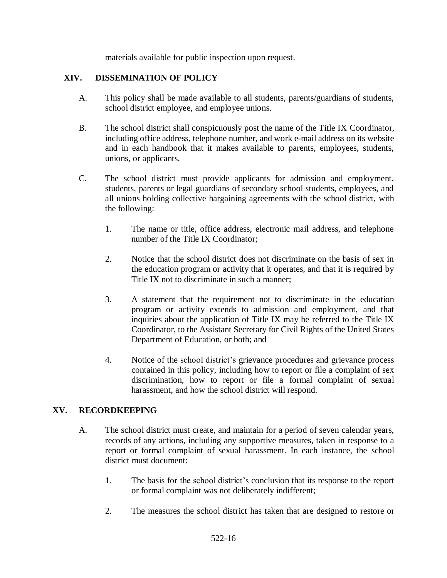materials available for public inspection upon request.

#### **XIV. DISSEMINATION OF POLICY**

- A. This policy shall be made available to all students, parents/guardians of students, school district employee, and employee unions.
- B. The school district shall conspicuously post the name of the Title IX Coordinator, including office address, telephone number, and work e-mail address on its website and in each handbook that it makes available to parents, employees, students, unions, or applicants.
- C. The school district must provide applicants for admission and employment, students, parents or legal guardians of secondary school students, employees, and all unions holding collective bargaining agreements with the school district, with the following:
	- 1. The name or title, office address, electronic mail address, and telephone number of the Title IX Coordinator;
	- 2. Notice that the school district does not discriminate on the basis of sex in the education program or activity that it operates, and that it is required by Title IX not to discriminate in such a manner;
	- 3. A statement that the requirement not to discriminate in the education program or activity extends to admission and employment, and that inquiries about the application of Title IX may be referred to the Title IX Coordinator, to the Assistant Secretary for Civil Rights of the United States Department of Education, or both; and
	- 4. Notice of the school district's grievance procedures and grievance process contained in this policy, including how to report or file a complaint of sex discrimination, how to report or file a formal complaint of sexual harassment, and how the school district will respond.

### **XV. RECORDKEEPING**

- A. The school district must create, and maintain for a period of seven calendar years, records of any actions, including any supportive measures, taken in response to a report or formal complaint of sexual harassment. In each instance, the school district must document:
	- 1. The basis for the school district's conclusion that its response to the report or formal complaint was not deliberately indifferent;
	- 2. The measures the school district has taken that are designed to restore or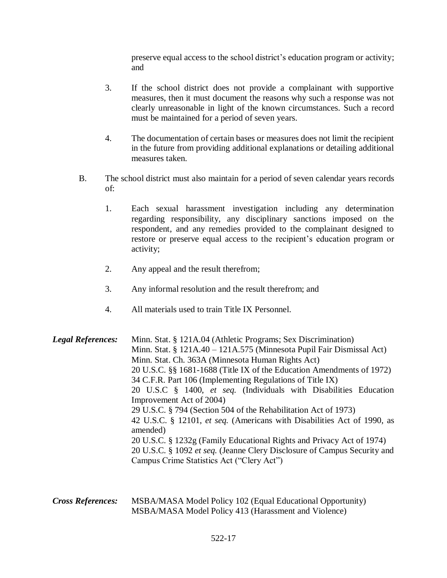preserve equal access to the school district's education program or activity; and

- 3. If the school district does not provide a complainant with supportive measures, then it must document the reasons why such a response was not clearly unreasonable in light of the known circumstances. Such a record must be maintained for a period of seven years.
- 4. The documentation of certain bases or measures does not limit the recipient in the future from providing additional explanations or detailing additional measures taken.
- B. The school district must also maintain for a period of seven calendar years records of:
	- 1. Each sexual harassment investigation including any determination regarding responsibility, any disciplinary sanctions imposed on the respondent, and any remedies provided to the complainant designed to restore or preserve equal access to the recipient's education program or activity;
	- 2. Any appeal and the result therefrom;
	- 3. Any informal resolution and the result therefrom; and
	- 4. All materials used to train Title IX Personnel.

*Legal References:* Minn. Stat. § 121A.04 (Athletic Programs; Sex Discrimination) Minn. Stat. § 121A.40 – 121A.575 (Minnesota Pupil Fair Dismissal Act) Minn. Stat. Ch. 363A (Minnesota Human Rights Act) 20 U.S.C. §§ 1681-1688 (Title IX of the Education Amendments of 1972) 34 C.F.R. Part 106 (Implementing Regulations of Title IX) 20 U.S.C § 1400, *et seq.* (Individuals with Disabilities Education Improvement Act of 2004) 29 U.S.C. § 794 (Section 504 of the Rehabilitation Act of 1973) 42 U.S.C. § 12101, *et seq.* (Americans with Disabilities Act of 1990, as amended) 20 U.S.C. § 1232g (Family Educational Rights and Privacy Act of 1974) 20 U.S.C. § 1092 *et seq.* (Jeanne Clery Disclosure of Campus Security and Campus Crime Statistics Act ("Clery Act")

*Cross References:* MSBA/MASA Model Policy 102 (Equal Educational Opportunity) MSBA/MASA Model Policy 413 (Harassment and Violence)